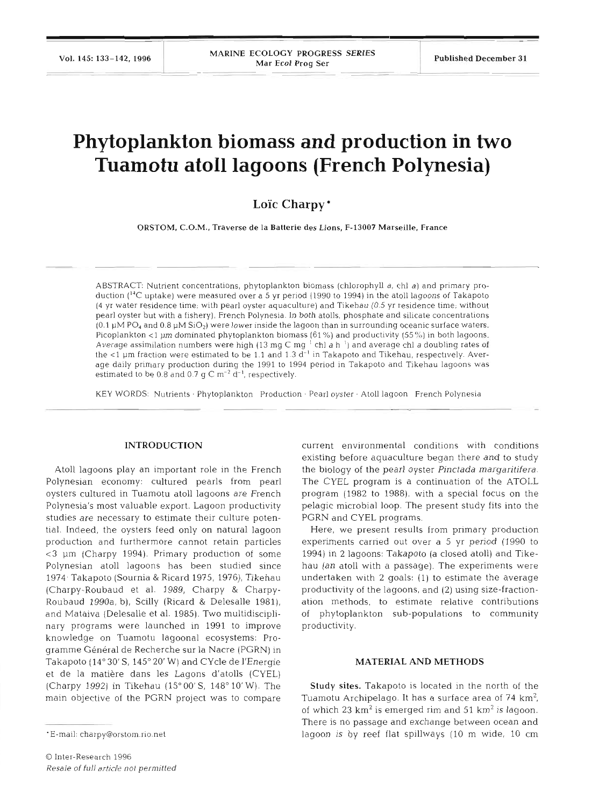# **Phytoplankton biomass and production in two Tuamotu atoll lagoons (French Polynesia)**

## **Lo'ic Charpy** \*

**ORSTOM, C.O.M., Traverse de la Batterie des Lions, F-13007 Marseille. France** 

ABSTRACT: Nutrient concentrations, phytoplankton biomass (chlorophyll *a*, chl *a*) and primary production (<sup>14</sup>C uptake) were measured over a 5 yr period (1990 to 1994) in the atoll lagoons of Takapoto (4 yr water residence time; with pearl oyster aquaculture) and Tikehau (0.5 yr residence time; without pearl oyster but with a fishery), French Polynesia. In both atolls, phosphate and silicate concentrations  $(0.1 \mu M \, \text{PO}_4$  and  $0.8 \mu M \, \text{SiO}_2$ ) were lower inside the lagoon than in surrounding oceanic surface waters. Picoplankton <1 µm dominated phytoplankton biomass (61%) and productivity (55%) in both lagoons. Average assimilation numbers were high (13 mg C mg <sup>1</sup> chl *a* h<sup>-1</sup>) and average chl *a* doubling rates of the  $\lt 1$  µm fraction were estimated to be 1.1 and 1.3  $\bar{d}^{-1}$  in Takapoto and Tikehau, respectively. Average daily primary production during the 1991 to 1994 period in Takapoto and Tikehau lagoons was estimated to be 0.8 and 0.7  $\sigma$  C m<sup>-2</sup> d<sup>-1</sup>, respectively.

KEY WORDS: Nutrients · Phytoplankton Production · Pearl oyster · Atoll lagoon French Polynesia

## **INTRODUCTION**

Atoll lagoons play an important role in the French Polynesian economy: cultured pearls from pearl oysters cultured in Tuamotu atoll lagoons are French Polynesia's most valuable export. Lagoon productivity studies are necessary to estimate their culture potential. Indeed, the oysters feed only on natural lagoon production and furthermore cannot retain particles *c3* pm (Charpy 1994). Primary production of some Polynesian atoll lagoons has been studied since 1974- Takapoto (Sournia & Ricard 1975, 1976), Tikehau (Charpy-Roubaud et al. 1989, Charpy & Charpy-Roubaud 1990a, b), Scilly (Ricard & Delesalle 1981), and Mataiva (Delesalle et al. 1985). Two multidisciplinary programs were launched in 1991 to improve knowledge on Tuamotu lagoonal ecosystems: Programme Général de Recherche sur la Nacre (PGRN) in Takapoto (14° 30' S, 145° 20' W) and CYcle de l'Energie et de la matiere dans les Lagons d'atolls (CYEL) (Charpy 1992) in Tikehau (15"00'S, 148" 10'W). The main objective of the PGRN project was to compare

current environmental conditions with conditions existing before aquaculture began there and to study the biology of the pearl oyster *Pinctada marqaritifera.*  The CYEL program is a continuation of the ATOLL program (1982 to 1988), with a special focus on the pelagic microbial loop. The present study fits into the PGRN and CYEL programs.

Here, we present results from primary production experiments carried out over a 5 yr period (1990 to 1994) in 2 lagoons: Takapoto (a closed atoll) and Tikehau (an atoll with a passage). The experiments were undertaken with 2 goals: (1) to estimate the average productivity of the lagoons, and (2) using size-fractionation methods, to estimate relative contributions of phytoplankton sub-populations to community productivity.

## **MATERIAL AND METHODS**

**Study sites.** Takapoto is located in the north of the Tuamotu Archipelago. It has a surface area of 74  $\rm km^2$ , of which 23  $km^2$  is emerged rim and 51  $km^2$  is lagoon. There is no passage and exchange between ocean and lagoon is by reef flat spillways (10 m wide, 10 cm

<sup>\*</sup>E-mail: charpy@orstom.rio.net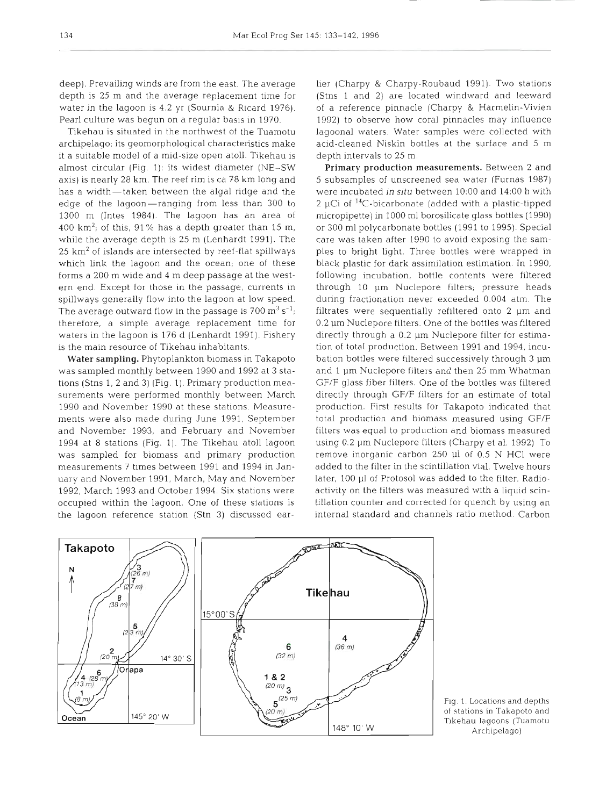depth is 25 m and the average replacement time for water in the lagoon is 4.2 yr (Sournia & Ricard 1976). of a reference pinnacle (Charpy & Harmelin-Vivien Pearl culture was begun on a regular basis in 1970.

archipelago; its geomorphological characteristics make it a suitable model of a mid-size open atoll. Tikehau is almost circular (Fig. 1): its widest diameter (NE-SW axis) is nearly 28 km. The reef rim is ca 78 km long and has a width-taken between the algal ridge and the were incubated in situ between 10:00 and 14:00 h with edge of the lagoon-ranging from less than 300 to  $\,$  2 µCi of  $\,$ <sup>14</sup>C-bicarbonate (added with a plastic-tipped 1300 m (Intes 1984). The lagoon has an area of 400  $\rm km^2$ ; of this, 91% has a depth greater than 15 m, or 300 ml polycarbonate bottles (1991 to 1995). Special while the average depth is 25 m (Lenhardt 1991). The care was taken after 1990 to avoid exposing the sam- $25 \text{ km}^2$  of islands are intersected by reef-flat spillways ples to bright light. Three bottles were wrapped in which link the lagoon and the ocean; one of these black plastic for dark assimilation estimation. In 1990, forms a 200 m wide and 4 m deep passage at the western end. Except for those in the passage, currents in through 10 um Nuclepore filters; pressure heads spillways generally flow into the lagoon at low speed. In during fractionation never exceeded 0.004 atm. The The average outward flow in the passage is  $700 \text{ m}^3 \text{ s}^{-1}$ ; therefore, a simple average replacement time for 0.2  $\mu$ m Nuclepore filters. One of the bottles was filtered waters in the lagoon is 176 d (Lenhardt 1991). Fishery directly through a 0.2 µm Nuclepore filter for estimais the main resource of Tikehau inhabitants.

was sampled monthly between 1990 and 1992 at 3 stations (Stns 1, 2 and 3) (Fig. 1). Primary production measurements were performed monthly between March directly through GF/F filters for an estimate of total 1990 and November 1990 at these stations. Measurements were also made during June 1991. September and November 1993, and February and November 1994 at 8 stations (Fig. 1). The Tikehau atoll lagoon was sampled for biomass and primary production remove inorganic carbon 250 µl of 0.5 N HCl were measurements 7 times between 1991 and 1994 in January and November 1991, March, May and November 1992, March 1993 and October 1994. Six stations were activity on the filters was measured with a liquid scinoccupied within the lagoon. One of these stations is illation counter and corrected for quench by using an the lagoon reference station (Stn 3) discussed ear-

deep). Prevailing winds are from the east. The average lier (Charpy & Charpy-Roubaud 1991). Two stations Tikehau is situated in the northwest of the Tuamotu

Water sampling. Phytoplankton biomass in Takapoto bation bottles were filtered successively through 3 µm (Charpy & Charpy-Roubaud 1991). Two statons<br>s 1 and 2) are located windward and leavard<br>r reference pinnacle (Charpy & Harmelin-Vivien<br>2) to observe how coral pinnacles may influence<br>nonal waters. Water samples were colle



Fig. 1. Locations and depths of stations in Takapoto and Tikehau lagoons (Tuamotu Archipelago)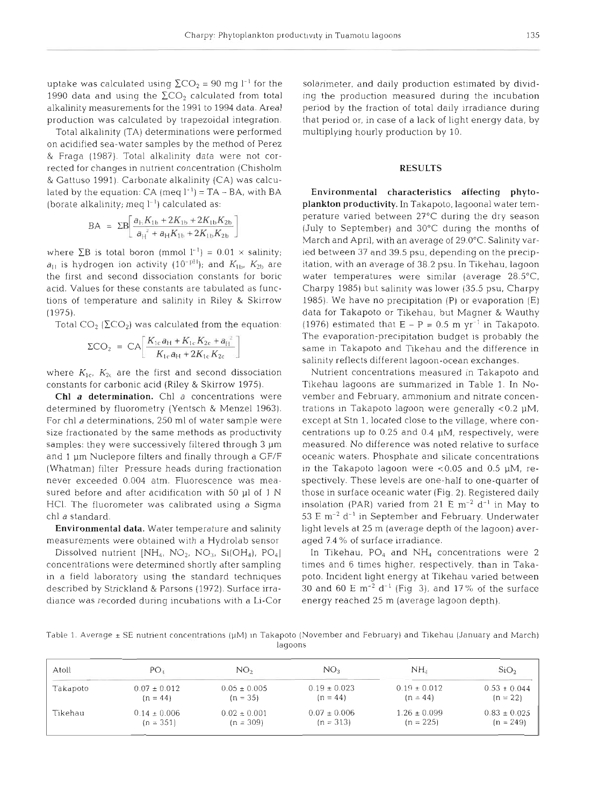uptake was calculated using  $\Sigma$ CO<sub>2</sub> = 90 mg l<sup>-1</sup> for the 1990 data and using the  $\Sigma$ CO<sub>2</sub> calculated from total alkalinity measurements for the 1991 to 1994 data. Area1 production was calculated by trapezoidal integration.

Total alkalinity (TA) determinations were performed on acidified sea-water samples by the method of Perez & Fraga (1987). Total alkalinity data were not corrected for changes in nutrient concentration (Chisholm & Gattuso 1991) Carbonate alkalinity (CA) was calculated by the equation:  $CA \text{ (meq } l^{-1}) = TA - BA$ , with BA (borate alkalinity; meq  $l^{-1}$ ) calculated as:

$$
BA = \Sigma B \left[ \frac{a_{H} K_{1b} + 2K_{1b} + 2K_{1b} K_{2b}}{a_{H}^{2} + a_{H} K_{1b} + 2K_{1b} K_{2b}} \right]
$$

where  $\Sigma$ B is total boron (mmol  $I^{-1}$ ) = 0.01  $\times$  salinity;  $a_{11}$  is hydrogen ion activity (10<sup>-p11</sup>); and  $K_{1b}$ ,  $K_{2b}$  are the first and second dissociation constants for boric acid. Values for these constants are tabulated as functions of temperature and salinity in Riley & Skirrow (1975).

Total  $CO<sub>2</sub>$  ( $\Sigma CO<sub>2</sub>$ ) was calculated from the equation:

$$
\Sigma \text{CO}_2 = \text{CA} \left[ \frac{K_{1a} a_{k1} + K_{1a} K_{2t} + a_{H}^2}{K_{1c} a_{H} + 2K_{1c} K_{2c}} \right]
$$

where  $K_{1c}$ ,  $K_{2c}$  are the first and second dissociation constants for carbonic acid (Riley & Skirrow 1975).

Chl a determination. Chl a concentrations were determined by fluorometry (Yentsch & Menzel 1963). For chl a determinations, 250 m1 of water sample were size fractionated by the same methods as productivity samples: they were successively filtered through 3  $\mu$ m and 1 µm Nuclepore filters and finally through a GF/F (Whatman) filter Pressure heads during fractionation never exceeded 0.004 atm. Fluorescence was measured before and after acidification with 50  $\mu$ l of 1 N HCl. The fluorometer was calibrated using a Sigma chl a standard.

Environmental data. Water temperature and salinity measurements were obtained with a Hydrolab sensor

Dissolved nutrient  $[NH_4, NO_2, NO_3, Si(OH_4), PO_4]$ concentrations were determined shortly after sampling in a field laboratory using the standard techniques described by Strickland & Parsons (1972). Surface irradiance was recorded during incubations with a Li-Cor

solarimeter, and daily production estimated by dividing the production measured during the incubation period by the fraction of total daily irradiance during that period or, in case of a lack of light energy data, by multiplying hourly production by 10.

## **RESULTS**

Environmental characteristics affecting phytoplankton productivity. In Takapoto, lagoonal water temperature varied between 27°C during the dry season (July to September) and 30°C during the months of March and April, with an average of 29.0°C. Salinity varied between 37 and 39.5 psu, depending on the precipitation. with an average of 38.2 psu. In Tikehau. lagoon water temperatures were similar (average 28.5"C, Charpy 1985) but salinity was lower (35.5 psu, Charpy 1985). We have no precipitation (P) or evaporation (E) data for Takapoto or Tikehau, but Magner & Wauthy (1976) estimated that  $E - P = 0.5$  m yr<sup>-1</sup> in Takapoto. The evaporation-precipitation budget is probably the same in Takapoto and Tikehau and the difference in salinity reflects different lagoon-ocean exchanges.

Nutrient concentrations measured in Takapoto and Tikehau lagoons are summarized in Table 1. In November and February, ammonium and nitrate concentrations in Takapoto lagoon were generally  $< 0.2$   $\mu$ M, except at Stn 1, located close to the village, where concentrations up to 0.25 and 0.4  $\mu$ M, respectively, were measured. No difference was noted relative to surface oceanic waters. Phosphate and silicate concentrations in the Takapoto lagoon were  $< 0.05$  and 0.5  $\mu$ M, respectively. These levels are one-half to one-quarter of those in surface oceanic water (Fig. 2). Registered daily insolation (PAR) varied from 21 E  $\text{m}^{-2}$  d<sup>-1</sup> in May to 53 E  $\text{m}^{-2}$  d<sup>-1</sup> in September and February. Underwater light levels at 25 m (average depth of the lagoon) averaged 7 4 % of surface irradiance.

In Tikehau,  $PO_4$  and  $NH_4$  concentrations were 2 times and 6 times higher, respectively, than in Takapoto. Incident llght energy at Tikehau varied between 30 and 60 E  $\text{m}^{-2}$  d<sup>-1</sup> (Fig 3), and 17% of the surface energy reached 25 m (average lagoon depth).

Table 1. Average ± SE nutrient concentrations (µM) in Takapoto (November and February) and Tikehau (January and March) lagoons

| Atoll    | PO <sub>x</sub>  | NO,              | NO <sub>3</sub>  | NH.              | SiO <sub>2</sub> |
|----------|------------------|------------------|------------------|------------------|------------------|
| Takapoto | $0.07 \pm 0.012$ | $0.05 \pm 0.005$ | $0.19 \pm 0.023$ | $0.19 \pm 0.012$ | $0.53 \pm 0.044$ |
|          | $(n = 44)$       | $(n = 35)$       | $(n = 44)$       | $(n = 44)$       | $(n = 22)$       |
| Tikehau  | $0.14 \pm 0.006$ | $0.02 \pm 0.001$ | $0.07 \pm 0.006$ | $1.26 \pm 0.099$ | $0.83 \pm 0.025$ |
|          | $(n = 351)$      | $(n = 309)$      | $(n = 313)$      | $(n = 225)$      | $(n = 249)$      |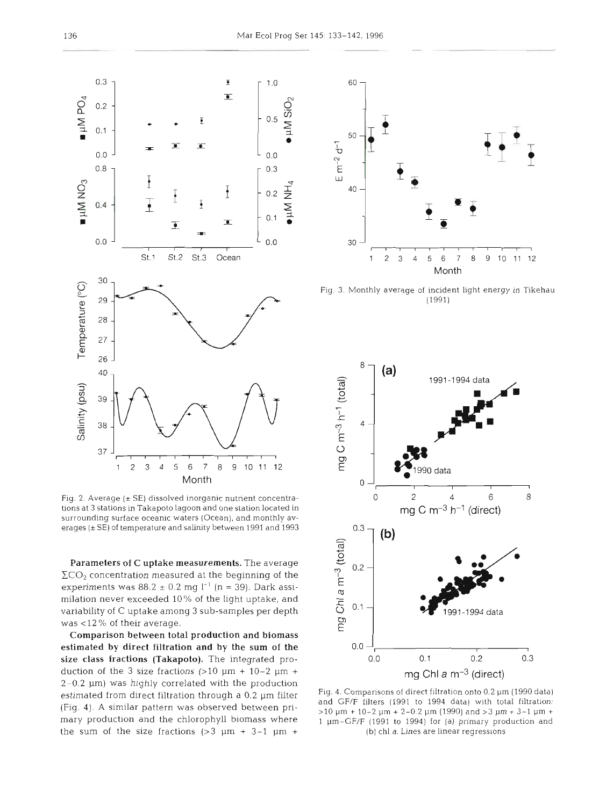

Fig. 2. Average  $(\pm$  SE) dissolved inorganic nutrient concentrations at 3 stations m Takapoto lagoon and one station located in surrounding surface oceanic waters (Ocean), and monthly averages ( $\pm$  SE) of temperature and salinity between 1991 and 1993

Parameters of *C* uptake measurements. The average  $\Sigma$ CO<sub>2</sub> concentration measured at the beginning of the experiments was  $88.2 \pm 0.2$  mg l<sup>-1</sup> (n = 39). Dark assimilation never exceeded 10% of the light uptake, and variability of C uptake among **3** sub-samples per depth was **<l2** % of their average.

Comparison between total production and biomass estimated by direct filtration and **by** the sum of the size class fractions (Takapoto). The integrated production of the 3 size fractions  $(>10 \mu m + 10-2 \mu m +$  $2-0.2$   $\mu$ m) was highly correlated with the production estimated from direct filtration through a 0.2 µm filter (Fig. 4). **A** similar pattern was observed between primary production and the chlorophyll biomass where the sum of the size fractions  $(>3 \mu m + 3-1 \mu m +$ 



Fig. **3.** Monthly average of incident light energy in Tikehau (1991)



Fig. 4. Comparisons of direct filtration onto 0.2 µm (1990 data) and GF/F filters (1991 to 1994 data) with total filtration: >l0 **pm** t 10-2 pm + 2-0.2 pm (1990) and >3 pm + 3-1 pm <sup>+</sup> 1 pm-GF/F (1991 to 1994) for (a) primary production and **(b)** chl a. Lines are linear regressions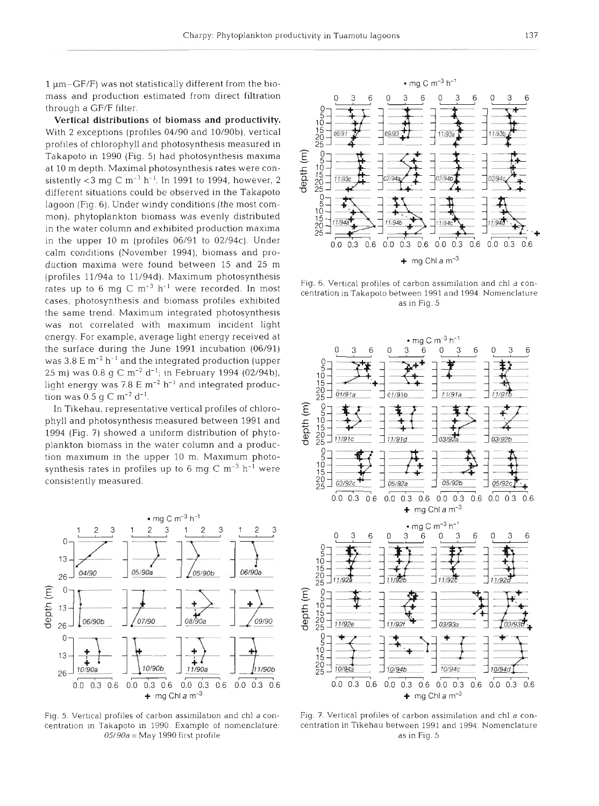1 um-GF/F) was not statistically different from the biomass and production estimated from direct filtration through a GF/F filter.

**Vertical distributions of biomass and productivity.**  With 2 exceptions (profiles 04/90 and 10/90b), vertical profiles of chlorophyll and photosynthesis measured in Takapoto in 1990 (Fig. 5) had photosynthesis maxima at 10 m depth. Maximal photosynthesis rates were consistently <3 mg C  $\rm m^{-3}$  h<sup>-1</sup>. In 1991 to 1994, however, 2 different situations could be observed in the Takapoto lagoon (Fig. 6). Under windy conditions (the most common), phytoplankton biomass was evenly distributed in the water column and exhibited production maxima in the upper 10 m (profiles 06/91 to 02/94c). Under calm conditions (November 1994), biomass and production maxima were found between 15 and 25 m (profiles 11/94a to 11/94d). Maximum photosynthesis rates up to 6 mg C  $m^{-3}$  h<sup>-1</sup> were recorded. In most cases, photosynthesis and biomass profiles exhibited the same trend. Maximum integrated photosynthesis was not correlated with maximum incident light energy. For example, average light energy received at the surface during the June 1991 incubation (06/91) was  $3.8 \text{ E m}^{-2}$  h<sup>-1</sup> and the integrated production (upper 25 m) was 0.8 g C m<sup>-2</sup> d<sup>-1</sup>; in February 1994 (02/94b), light energy was 7.8 E  $m^{-2}$  h<sup>-1</sup> and integrated production was  $0.5 \text{ g C m}^{-2} \text{ d}^{-1}$ .

In Tikehau, representative vertical profiles of chlorophyll and photosynthesis measured between 1991 and 1994 (Fig. 7) showed a uniform distribution of phytoplankton biomass in the water column and a production maximum in the upper 10 m. Maximum photosynthesis rates in profiles up to 6 mg C  $m^{-3}$  h<sup>-1</sup> were consistently measured.



Fig. 5. Vertical profiles of carbon assimilation and chl a concentration In Takapoto in 1990. Example of nomenclature:  $05/90a =$  May 1990 first profile



Fig. 6. Vertical profiles of carbon assimilation and chl a concentration in Takapoto between 1991 and 1994. Nomenclature as in Fig. 5



Fig. 7. Vertical profiles of carbon assimilation and chl a concentration in Tikehau between 1991 and 1994. Nomenclatur as in Fig. 5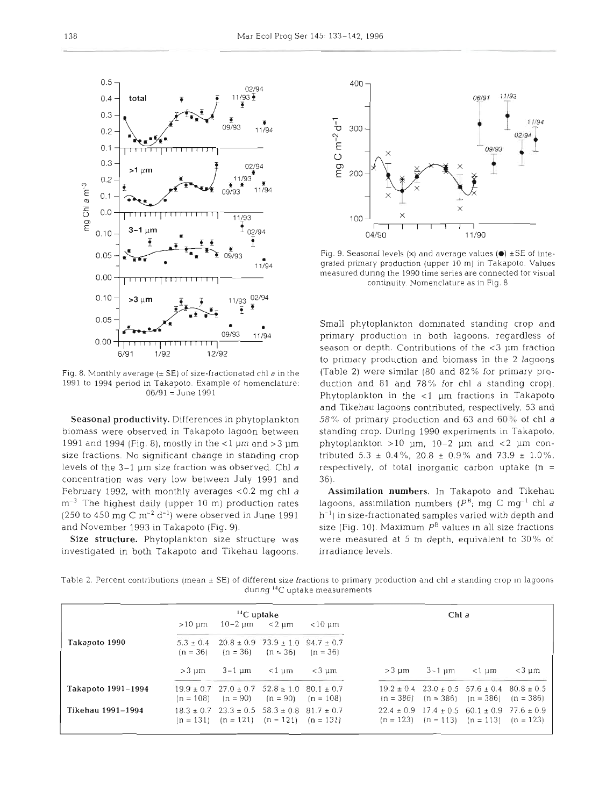

Fig. 8. Monthly average  $(\pm$  SE) of size-fractionated chl  $a$  in the 1991 to 1994 period in Takapoto. Example of nomenclature: 06/91 = June 1991

Seasonal productivity. Differences in phytoplankton biomass were observed in Takapoto lagoon between 1991 and 1994 (Fig. 81, mostly in the <l pm and *>3* pm size fractions. No significant change in standing crop levels of the  $3-1$  µm size fraction was observed. Chl a concentration was very low between July 1991 and February 1992, with monthly averages  $<$  0.2 mg chl a  $m^{-3}$  The highest daily (upper 10 m) production rates (250 to 450 mg  $C m^{-2} d^{-1}$ ) were observed in June 1991 and November 1993 in Takapoto (Fig. 9).

Size structure. Phytoplankton size structure was investigated in both Takapoto and Tikehau lagoons.



Fig. 9. Seasonal levels **(X)** and average values **(e)** +SE of integrated primary production (upper 10 m) in Takapoto. Values measured dunng the 1990 time series are connected for visual continuity. Nomenclature as in Fig. 8

Small phytoplankton dominated standing crop and primary production in both lagoons, regardless of season or depth. Contributions of the  $<$ 3  $\mu$ m fraction to primary production and biomass in the 2 lagoons (Table 2) were similar (80 and 82% for primary production and 81 and 78% for chl a standing crop). Phytoplankton in the  $<$ 1  $\mu$ m fractions in Takapoto and Tikehau lagoons contributed, respectively, 53 and 58% of primary- production and 63 and 60% of chl a standing crop. During 1990 experiments in Takapoto, phytoplankton  $>10$  µm, 10-2 µm and <2 µm contributed  $5.3 \pm 0.4\%$ ,  $20.8 \pm 0.9\%$  and  $73.9 \pm 1.0\%$ , respectively, of total inorganic carbon uptake  $(n =$ 

Assimilation numbers. In Takapoto and Tikehau lagoons, assimilation numbers ( $P^B$ ; mg C mg<sup>-1</sup> chl a  $h^{-1}$ ) in size-fractionated samples varied with depth and size (Fig. 10). Maximum  $P^B$  values in all size fractions were measured at 5 m depth, equivalent to 30% of irradiance levels.

Table 2. Percent contributions (mean  $\pm$  SE) of different size fractions to primary production and chl a standing crop in lagoons during *''C* uptake measurements

|                    | $\rm ^{14}C$ uptake |                                                                                                                |                                              |             | Chl a |                                                                                                                |       |                |
|--------------------|---------------------|----------------------------------------------------------------------------------------------------------------|----------------------------------------------|-------------|-------|----------------------------------------------------------------------------------------------------------------|-------|----------------|
|                    | $>10 \mu m$         | $10 - 2 \mu m \le 2 \mu m$                                                                                     |                                              | $<$ 10 µm   |       |                                                                                                                |       |                |
| Takapoto 1990      | $5.3 + 0.4$         |                                                                                                                | $20.8 \pm 0.9$ 73.9 $\pm$ 1.0 94.7 $\pm$ 0.7 |             |       |                                                                                                                |       |                |
|                    | $(n = 36)$          |                                                                                                                | $(n = 36)$ $(n = 36)$                        | $(n = 36)$  |       |                                                                                                                |       |                |
|                    | $>3 \text{ nm}$     | 3-1 um                                                                                                         | ~1 um                                        | $<$ 3 um    | >3 um | 3-1 um                                                                                                         | <1 um | $<$ 3 um       |
| Takapoto 1991–1994 |                     | $19.9 \pm 0.7$ $27.0 \pm 0.7$ $52.8 \pm 1.0$ $80.1 \pm 0.7$<br>$(n = 108)$ $(n = 90)$ $(n = 90)$               |                                              | $(n = 108)$ |       | $19.2 \pm 0.4$ $23.0 \pm 0.5$ $57.6 \pm 0.4$<br>$(n = 386)$ $(n = 386)$ $(n = 386)$ $(n = 386)$                |       | $80.8 \pm 0.5$ |
| Tikehau 1991–1994  |                     | $18.3 \pm 0.7$ $23.3 \pm 0.5$ $58.3 \pm 0.8$ $81.7 \pm 0.7$<br>$(n = 131)$ $(n = 121)$ $(n = 121)$ $(n = 131)$ |                                              |             |       | $22.4 \pm 0.9$ 17.4 $\pm$ 0.5 60.1 $\pm$ 0.9 77.6 $\pm$ 0.9<br>$(n = 123)$ $(n = 113)$ $(n = 113)$ $(n = 123)$ |       |                |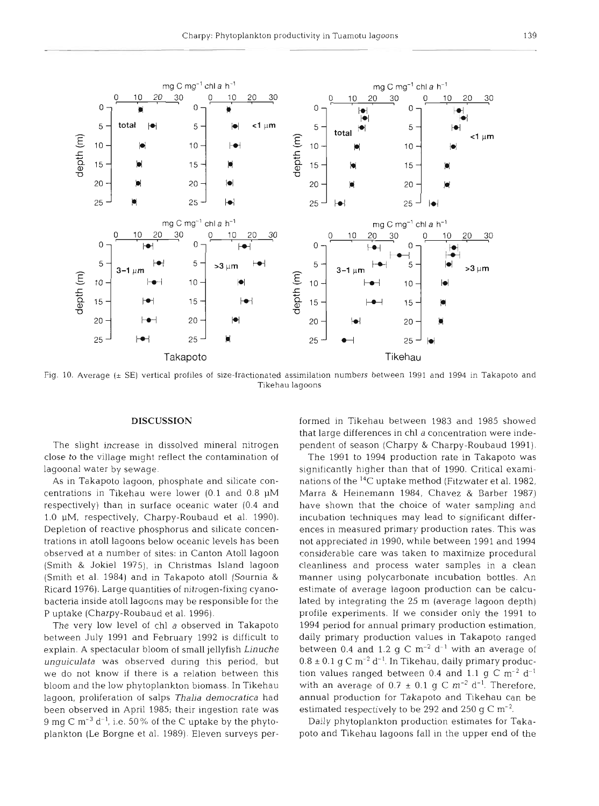

Fig. 10. Average (± SE) vertical profiles of size-fractionated assimilation numbers between 1991 and 1994 in Takapoto and Tikehau lagoons

## **DISCUSSION**

The slight increase in dissolved mineral nitrogen close to the village might reflect the contamination of lagoonal water by sewage.

As in Takapoto lagoon, phosphate and silicate concentrations in Tikehau were lower (0.1 and 0.8 pM respectively) than in surface oceanic water (0.4 and 1.0 **PM,** respectively, Charpy-Roubaud et al. 1990). Depletion of reactive phosphorus and silicate concentrations in atoll lagoons below oceanic levels has been observed at a number of sites: in Canton Atoll lagoon (Smith & Jokiel 1975), in Christmas Island lagoon (Smith et al. 1984) and in Takapoto atoll (Sournia & Ricard 1976). Large quantities of nitrogen-fixing cyanobacteria inside atoll lagoons may be responsible for the P uptake (Charpy-Roubaud et al. 1996).

The very low level of chl *a* observed in Takapoto between July 1991 and February 1992 is difficult to explain. A spectacular bloom of small jellyfish *Linuche unguiculata* was observed during this period, but we do not know if there is a relation between this bloom and the low phytoplankton biomass. In Tikehau lagoon, proliferation of salps *Thalia democratica* had been observed in April 1985; their ingestion rate was 9 mg C m<sup>-3</sup> d<sup>-1</sup>, i.e. 50% of the C uptake by the phytoplankton (Le Borgne et al. 1989). Eleven surveys per-

formed in Tikehau between 1983 and 1985 showed<br>that large differences in chl a concentration were inde-<br>pendent of season (Charpy & Charpy-Roubaud 1991).<br>The 1991 to 1994 production rate in Takapoto was<br>significantly high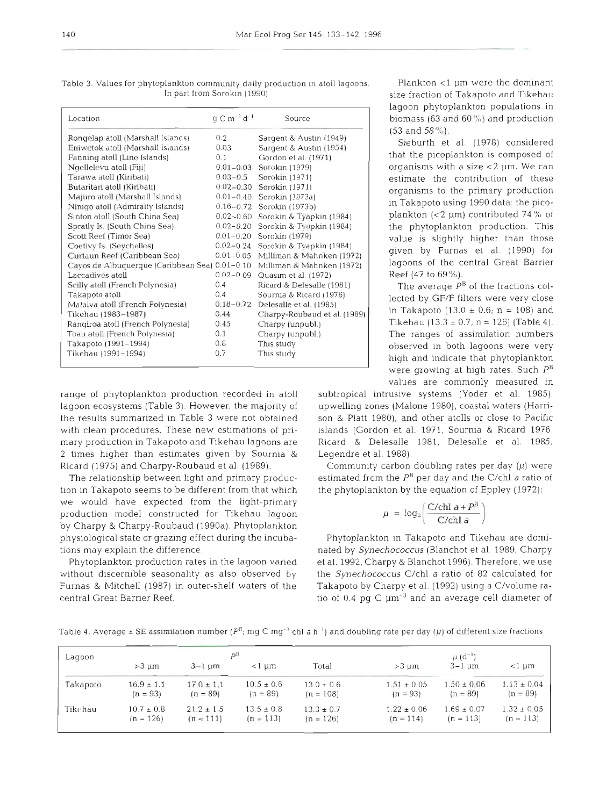| Location                                       | $q \text{ C m}^{-2} d^{-1}$ | Source                             |
|------------------------------------------------|-----------------------------|------------------------------------|
| Rongelap atoll (Marshall Islands)              | 0.2                         | Sargent & Austin (1949)            |
| Eniwetok atoll (Marshall Islands)              | 0.03                        | Sargent & Austin (1954)            |
| Fanning atoll (Line Islands)                   | 0.1                         | Gordon et al. (1971)               |
| Ngellelevu atoll (Fiji)                        | $0.01 - 0.03$               | Sorokin (1979)                     |
| Tarawa atoll (Kiribati)                        | $0.03 - 0.5$                | Sorokin (1971)                     |
| Butaritari atoll (Kiribatı)                    | $0.02 - 0.30$               | Sorokin (1971)                     |
| Majuro atoll (Marshall Islands)                | $0.01 - 0.40$               | Sorokin (1973a)                    |
| Ninigo atoll (Admiralty Islands)               |                             | $0.16 - 0.72$ Sorokin (1973b)      |
| Sinton atoll (South China Sea)                 |                             | 0.02-0.60 Sorokin & Tyapkin (1984) |
| Spratly Is. (South China Sea)                  | $0.02 - 0.20$               | Sorokin & Tyapkin (1984)           |
| Scott Reef (Timor Sea)                         | $0.01 - 0.20$               | Sorokin (1979)                     |
| Coetivy Is. (Seychelles)                       | $0.02 - 0.24$               | Sorokin & Tyapkin (1984)           |
| Curtaun Reef (Caribbean Sea)                   | $0.01 - 0.05$               | Milliman & Mahnken (1972)          |
| Cayos de Albuquerque (Caribbean Sea) 0.01-0.10 |                             | Milliman & Mahnken (1972)          |
| Laccadives atoll                               | $0.02 - 0.09$               | Quasim et al. (1972)               |
| Scilly atoll (French Polynesia)                | 0.4                         | Ricard & Delesalle (1981)          |
| Takapoto atoll                                 | 0.4                         | Sournia & Ricard (1976)            |
| Mataiva atoll (French Polynesia)               | $0.18 - 0.72$               | Delesalle et al. (1985)            |
| Tikehau (1983-1987)                            | 0.44                        | Charpy-Roubaud et al. (1989)       |
| Rangiroa atoll (French Polynesia)              | 0.45                        | Charpy (unpubl.)                   |
| Toau atoll (French Polynesia)                  | 0.1                         | Charpy (unpubl.)                   |
| Takapoto (1991-1994)                           | 0.8                         | This study                         |
| Tikehau (1991–1994)                            | 0.7                         | This study                         |
|                                                |                             |                                    |

Table 3. Values for phytoplankton community daily production in atoll lagoons. Plankton <1 µm were the dominant In part from Sorokin (1990) size fraction of Takapoto and Tikehau

lagoon ecosystems (Table 3). However, the majority of upwelling zones (Malone 1980), coastal waters (Harrithe results summarized in Table 3 were not obtained son & Platt 1980), and other atolls or close to Pacific with clean procedures. These new estimations of pri- islands (Gordon et al. 1971, Sournia & Ricard 1976, mary production in Takapoto and Tikehau lagoons are Ricard & Delesalle 1981, Delesalle et al. 1985, 2 times higher than estimates given by Sournia & Legendre et al. 1988). Ricard (1975) and Charpy-Roubaud et al. (1989). Community carbon doubling rates per day **(p)** were

tion in Takapoto seems to be different from that which the phytoplankton by the equation of Eppley (1972): we would have expected from the light-primary production model constructed for Tikehau lagoon by Charpy & Charpy-Roubaud (1990a). Phytoplankton physiological state or grazing effect during the incuba- Phytoplankton in Takapoto and Tikehau are domitions may explain the difference. nated by *Synechococcus* (Blanchot et al. 1989, Charpy

without discernible seasonality as also observed by the *Synechococcus* C/chl a ratio of 82 calculated for Furnas & Mitchell (1987) in outer-shelf waters of the Takapoto by Charpy et al. (1992) using a C/volume racentral Great Barrier Reef. tio of 0.4 pg C  $\mu$ m<sup>-3</sup> and an average cell diameter of

lagoon phytoplankton populations in biomass (63 and  $60\%$ ) and production  $(53 \text{ and } 58\%)$ .

> were growing at high rates. Such **PB**  values are commonly measured in

range of phytoplankton production recorded in atoll subtropical intrusive systems (Yoder et al. 1985),

The relationship between light and primary produc-<br>estimated from the  $P^B$  per day and the C/chl a ratio of

$$
\mu = \log_2\left(\frac{C/\text{chl}\ a + P^B}{C/\text{chl}\ a}\right)
$$

Phytoplankton production rates in the lagoon varied et al. 1992, Charpy & Blanchot 1996). Therefore, we use

| Lagoon   |                |                | рB             | $\mu$ (d <sup>-1</sup> ) |                 |                 |                 |  |
|----------|----------------|----------------|----------------|--------------------------|-----------------|-----------------|-----------------|--|
|          | $>3 \mu$ m     | $3 - 1$ um     | $<1~\mu m$     | Total                    | $>3 \mu$        | $3-1$ um        | $<$ 1 $~\mu$ m  |  |
| Takapoto | $16.9 \pm 1.1$ | $17.0 \pm 1.1$ | $10.5 \pm 0.6$ | $13.0 \pm 0.6$           | $1.51 \pm 0.05$ | $1.50 \pm 0.06$ | $1.13 \pm 0.04$ |  |
|          | $(n = 93)$     | $(n = 89)$     | $(n = 89)$     | $(n = 108)$              | $(n = 93)$      | $(n = 89)$      | $(n = 89)$      |  |
| Tikehau  | $10.7 \pm 0.8$ | $21.2 \pm 1.5$ | $13.5 \pm 0.8$ | $13.3 \pm 0.7$           | $1.22 \pm 0.06$ | $1.69 \pm 0.07$ | $1.32 \pm 0.05$ |  |
|          | $(n = 126)$    | $(n = 111)$    | $(n = 113)$    | $(n = 126)$              | $(n = 114)$     | $(n = 113)$     | $(n = 113)$     |  |

Table 4. Average  $\pm$  SE assimilation number ( $P^B$ ; mg C mg<sup>-1</sup> chl a h<sup>-1</sup>) and doubling rate per day *(p)* of different size fractions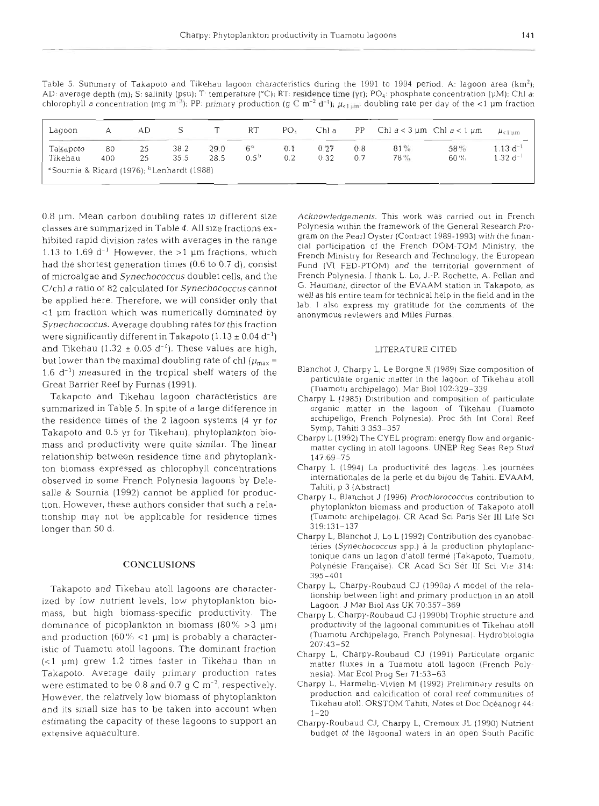Table 5. Summary of Takapoto and Tikehau lagoon characteristics during the 1991 to 1994 period. A: lagoon area **(km2);**  AD: average depth (m); S: salinity (psu); T- temperature ("C); RT: residence time (yr); PO,: phosphate concentration (pM); Chl *a:*  chlorophyll a concentration (mg m<sup>-3</sup>); PP: primary production (g C m<sup>-2</sup> d<sup>-1</sup>);  $\mu_{<1\,\mu m}$ : doubling rate per day of the <1 µm fraction

| Lagoon   | А   | AD |      |      | RT              | PO <sub>A</sub> | Chl a | PP. | Chl $a < 3 \mu m$ Chl $a < 1 \mu m$ |        | $\mu_{\rm c1\;um}$ |
|----------|-----|----|------|------|-----------------|-----------------|-------|-----|-------------------------------------|--------|--------------------|
| Takapoto | 80  | 25 | 38.2 | 29.0 | 6 <sup>9</sup>  | 0.1             | 0.27  | 0.8 | 81%                                 | 58%    | $1.13 d^{-1}$      |
| Tikehau  | 400 | 25 | 35.5 | 28.5 | $0.5^{\,\rm b}$ | 0.2             | 0.32  | 0.7 | 78%                                 | $60\%$ | $1.32 d^{-1}$      |

0.8 pm. Mean carbon doubling rates in different size classes are summarized in Table 4. All size fractions exhibited rapid division rates with averages in the range 1.13 to 1.69  $d^{-1}$  However, the >1 µm fractions, which had the shortest generation times (0.6 to 0.7 d), consist of microalgae and *Synechococcus* doublet cells, and the C/chl a ratio of 82 calculated for *Synechococcus* cannot be applied here. Therefore, we will consider only that <l pm fraction which was numerically dominated by *Synechococcus.* Average doubling rates for this fraction were significantly different in Takapoto  $(1.13 \pm 0.04 \text{ d}^{-1})$ and Tikehau (1.32  $\pm$  0.05 d<sup>-1</sup>). These values are high, but lower than the maximal doubling rate of chl ( $\mu_{\rm max}$  =  $1.6$  d<sup>-1</sup>) measured in the tropical shelf waters of the Great Barrier Reef by Furnas (1991).

Takapoto and Tikehau lagoon characteristics are summarized in Table 5. In spite of a large difference in the residence times of the 2 lagoon systems (4 yr for Takapoto and 0.5 yr for Tikehau), phytoplankton biomass and productivity were quite similar. The linear relationship between residence time and phytoplankton biomass expressed as chlorophyll concentrations observed in some French Polynesia lagoons by Delesalle & Sournia (1992) cannot be applied for production. However, these authors consider that such a relationship may not be applicable for residence times longer than 50 d.

## CONCLUSIONS

Takapoto and Tikehau atoll lagoons are characterized by low nutrient levels, low phytoplankton biomass, but high biomass-specific productivity. The dominance of picoplankton in biomass  $(80\% > 3 \mu m)$ and production  $(60\% < 1 \text{ µm})$  is probably a characteristic of Tuamotu atoll lagoons. The dominant fraction (<l pm) grew 1.2 times faster in Tikehau than in Takapoto. Average daily primary production rates were estimated to be 0.8 and 0.7  $\sigma$  C m<sup>-2</sup>, respectively. However, the relatively low biomass of phytoplankton and its small size has to be taken into account when estimating the capacity of these lagoons to support an extensive aquaculture.

Acknowledgements. This work was carried out in French Polynesia within the framework of the General Research Program on the Pearl Oyster (Contract 1989-1993) with the financial participation of the French DOM-TOM Ministry, the French Ministry for Research and Technology, the European Fund (V1 FED-PTOM) and the territorial government of French Polynesia I thank L. Lo, J.-P. Rochette, A. Pellan and G. Haumani, director of the EVAAM station in Takapoto, as well as his entire team for technical help in the field and in the lab. I also express my gratitude for the comments of the anonymous reviewers and Miles Furnas.

#### LITERATURE CITED

- Blanchot J, Charpy L, Le Borgne R (1989) Size composition of particulate organic matter in the lagoon of Tikehau atoll (Tuamotu archipelago). Mar Biol 102:329-339
- Charpy L (1985) Distribution and composition of particulate organic matter in the lagoon of Tikehau (Tuamoto archipeligo, French Polynesia). Proc 5th Int Coral Reef Symp, Tahiti 3.353-357
- Charpy L (1992) The CYEL program: energy flow and organtcmatter cycling in atoll lagoons. UNEP Reg Seas Rep Stud 147:69-75
- Charpy L (1994) La productivité des lagons. Les journées Internationales de la perle et du bijou de Tahiti. EVAAM. Tahiti, p 3 (Abstract)
- Charpy L, Blanchot J (1996) Prochlorococcus contribution to phytoplankton biomass and production of Takapoto atoll (Tuamotu archipelago). CR Acad Sci Paris Sér III Life Sci 319:131-137
- Charpy L, Blanchot J, Lo L (1992) Contribution des cyanobactéries (Synechococcus spp.) à la production phytoplanctonique dans un lagon d'atoll ferme (Takapoto. Tuamotu. Polynésie Française). CR Acad Sci Sér III Sci Vie 314: 395-401
- Charpy L, Charpy-Roubaud CJ (1990a) A model of the relationship between light and primary production in an atoll Lagoon. J Mar Biol Ass UK 70:357-369
- Charpy L, Charpy-Roubaud CJ (1990b) Trophic structure and productivity of the lagoonal communities of Tikehau atoll (Tuamotu Archipelago, French Polynesla). Hydrobioloyla 207:43-52
- Charpy L, Charpy-Roubaud CJ (1991) Particulate organic matter fluxes in a Tuamotu atoll lagoon (French Polynesia). Mar Ecol Prog Ser 71:53-63
- Charpy L, Harmelin-Vivien M (1992) Preliminary results on production and calcification of coral reef communities of Tikehau atoll. ORSTOM Tahiti. Notes et Doc Oceanogr 44:  $1 - 20$
- Charpy-Koubaud CJ, Charpy L, Cremoux JL (1990) Nutrient budget of the lagoonal waters in an open South Pacific